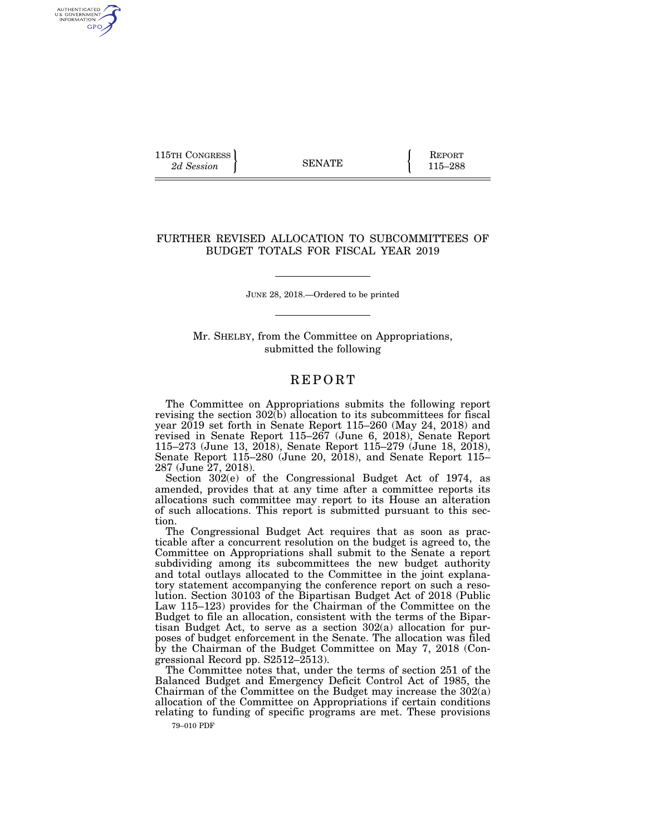115TH CONGRESS **REPORT** 2d Session **115–288** 

AUTHENTICATED<br>U.S. GOVERNMENT<br>INFORMATION GPO

## FURTHER REVISED ALLOCATION TO SUBCOMMITTEES OF BUDGET TOTALS FOR FISCAL YEAR 2019

JUNE 28, 2018.—Ordered to be printed

Mr. SHELBY, from the Committee on Appropriations, submitted the following

## **REPORT**

The Committee on Appropriations submits the following report revising the section  $302(b)$  allocation to its subcommittees for fiscal year 2019 set forth in Senate Report 115–260 (May 24, 2018) and revised in Senate Report 115–267 (June 6, 2018), Senate Report 115–273 (June 13, 2018), Senate Report 115–279 (June 18, 2018), Senate Report 115–280 (June 20, 2018), and Senate Report 115– 287 (June 27, 2018).

Section 302(e) of the Congressional Budget Act of 1974, as amended, provides that at any time after a committee reports its allocations such committee may report to its House an alteration of such allocations. This report is submitted pursuant to this section.

The Congressional Budget Act requires that as soon as practicable after a concurrent resolution on the budget is agreed to, the Committee on Appropriations shall submit to the Senate a report subdividing among its subcommittees the new budget authority and total outlays allocated to the Committee in the joint explanatory statement accompanying the conference report on such a resolution. Section 30103 of the Bipartisan Budget Act of 2018 (Public Law 115–123) provides for the Chairman of the Committee on the Budget to file an allocation, consistent with the terms of the Bipartisan Budget Act, to serve as a section 302(a) allocation for purposes of budget enforcement in the Senate. The allocation was filed by the Chairman of the Budget Committee on May 7, 2018 (Congressional Record pp. S2512–2513).

The Committee notes that, under the terms of section 251 of the Balanced Budget and Emergency Deficit Control Act of 1985, the Chairman of the Committee on the Budget may increase the 302(a) allocation of the Committee on Appropriations if certain conditions relating to funding of specific programs are met. These provisions

79–010 PDF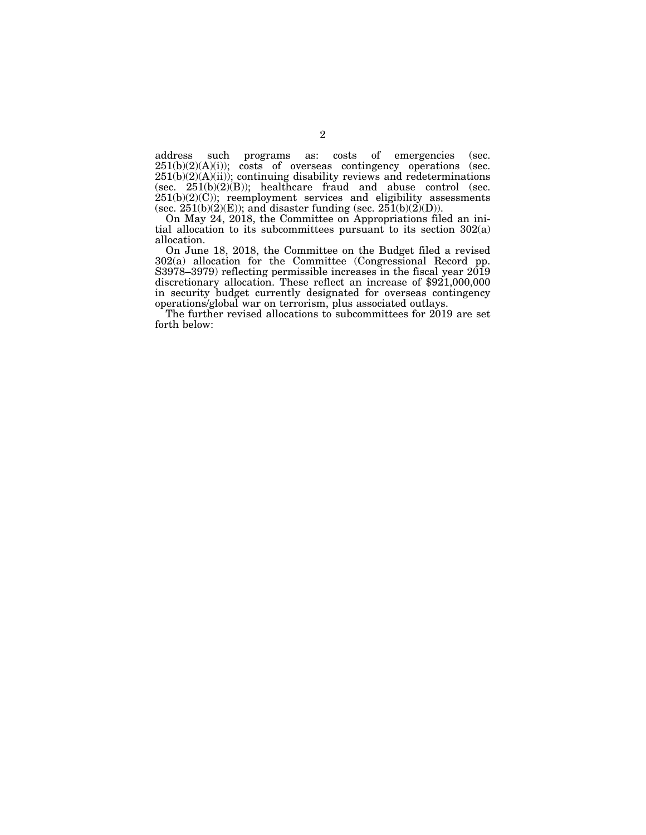address such programs as: costs of emergencies (sec.  $251(b)(2)(A)(i)$ ; costs of overseas contingency operations (sec.  $251(b)(2)(A)(ii)$ ; continuing disability reviews and redeterminations (sec.  $251(b)(2)(B)$ ); healthcare fraud and abuse control (sec.  $251(b)(2)(C)$ ; reemployment services and eligibility assessments (sec.  $251(b)(2)(E)$ ); and disaster funding (sec.  $251(b)(2)(D)$ ).

On May 24, 2018, the Committee on Appropriations filed an initial allocation to its subcommittees pursuant to its section 302(a) allocation.

On June 18, 2018, the Committee on the Budget filed a revised 302(a) allocation for the Committee (Congressional Record pp. S3978–3979) reflecting permissible increases in the fiscal year 2019 discretionary allocation. These reflect an increase of \$921,000,000 in security budget currently designated for overseas contingency operations/global war on terrorism, plus associated outlays.

The further revised allocations to subcommittees for 2019 are set forth below: